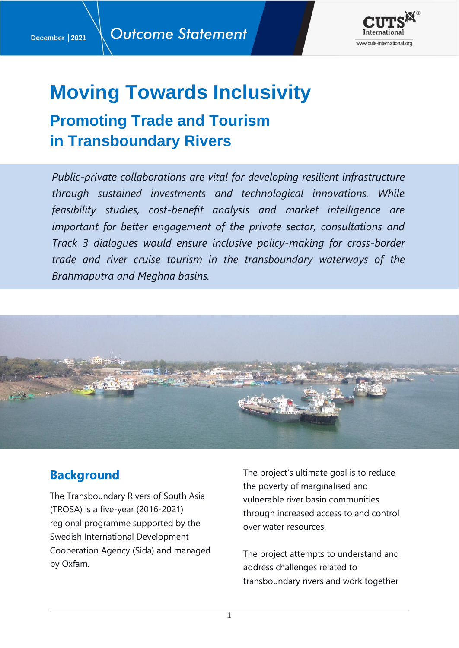

# **Moving Towards Inclusivity**

## **Promoting Trade and Tourism in Transboundary Rivers**

*Public-private collaborations are vital for developing resilient infrastructure through sustained investments and technological innovations. While feasibility studies, cost-benefit analysis and market intelligence are important for better engagement of the private sector, consultations and Track 3 dialogues would ensure inclusive policy-making for cross-border trade and river cruise tourism in the transboundary waterways of the Brahmaputra and Meghna basins.*



## **Background**

The Transboundary Rivers of South Asia (TROSA) is a five-year (2016-2021) regional programme supported by the Swedish International Development Cooperation Agency (Sida) and managed by Oxfam.

The project's ultimate goal is to reduce the poverty of marginalised and vulnerable river basin communities through increased access to and control over water resources.

The project attempts to understand and address challenges related to transboundary rivers and work together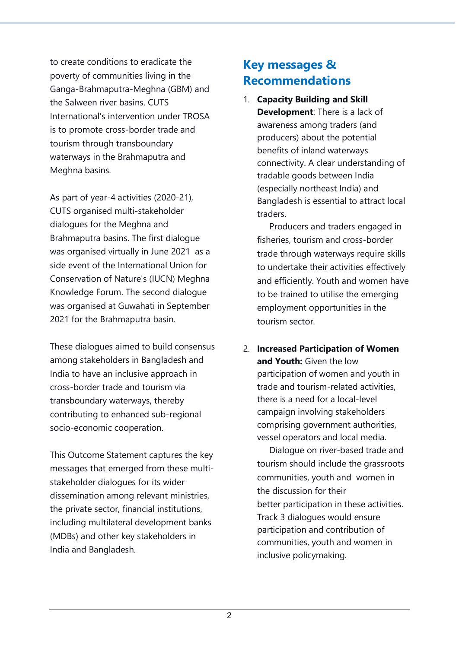to create conditions to eradicate the poverty of communities living in the Ganga-Brahmaputra-Meghna (GBM) and the Salween river basins. CUTS International's intervention under TROSA is to promote cross-border trade and tourism through transboundary waterways in the Brahmaputra and Meghna basins.

As part of year-4 activities (2020-21), CUTS organised multi-stakeholder dialogues for the Meghna and Brahmaputra basins. The first dialogue was organised virtually in June 2021 as a side event of the International Union for Conservation of Nature's (IUCN) Meghna Knowledge Forum. The second dialogue was organised at Guwahati in September 2021 for the Brahmaputra basin.

These dialogues aimed to build consensus among stakeholders in Bangladesh and India to have an inclusive approach in cross-border trade and tourism via transboundary waterways, thereby contributing to enhanced sub-regional socio-economic cooperation.

This Outcome Statement captures the key messages that emerged from these multistakeholder dialogues for its wider dissemination among relevant ministries, the private sector, financial institutions, including multilateral development banks (MDBs) and other key stakeholders in India and Bangladesh.

## **Key messages & Recommendations**

1. **Capacity Building and Skill Development**: There is a lack of awareness among traders (and producers) about the potential benefits of inland waterways connectivity. A clear understanding of tradable goods between India (especially northeast India) and Bangladesh is essential to attract local traders.

 Producers and traders engaged in fisheries, tourism and cross-border trade through waterways require skills to undertake their activities effectively and efficiently. Youth and women have to be trained to utilise the emerging employment opportunities in the tourism sector.

2. **Increased Participation of Women and Youth:** Given the low participation of women and youth in trade and tourism-related activities, there is a need for a local-level campaign involving stakeholders comprising government authorities, vessel operators and local media.

 Dialogue on river-based trade and tourism should include the grassroots communities, youth and women in the discussion for their better participation in these activities. Track 3 dialogues would ensure participation and contribution of communities, youth and women in inclusive policymaking.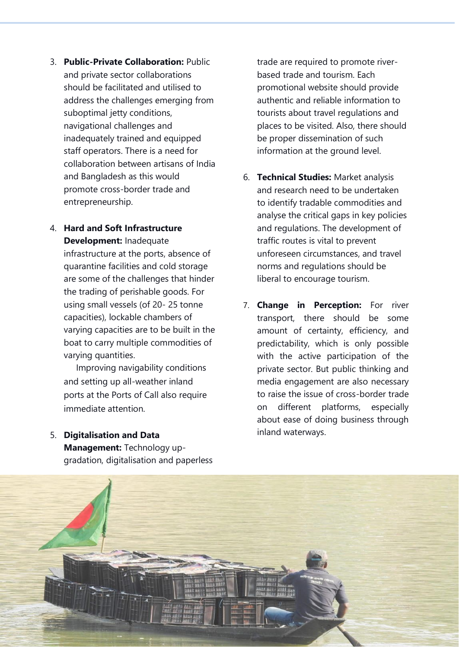3. **Public-Private Collaboration:** Public and private sector collaborations should be facilitated and utilised to address the challenges emerging from suboptimal jetty conditions, navigational challenges and inadequately trained and equipped staff operators. There is a need for collaboration between artisans of India and Bangladesh as this would promote cross-border trade and entrepreneurship.

### 4. **Hard and Soft Infrastructure Development:** Inadequate

infrastructure at the ports, absence of quarantine facilities and cold storage are some of the challenges that hinder the trading of perishable goods. For using small vessels (of 20- 25 tonne capacities), lockable chambers of varying capacities are to be built in the boat to carry multiple commodities of varying quantities.

 Improving navigability conditions and setting up all-weather inland ports at the Ports of Call also require immediate attention.

5. **Digitalisation and Data** 

**Management:** Technology upgradation, digitalisation and paperless trade are required to promote riverbased trade and tourism. Each promotional website should provide authentic and reliable information to tourists about travel regulations and places to be visited. Also, there should be proper dissemination of such information at the ground level.

- 6. **Technical Studies:** Market analysis and research need to be undertaken to identify tradable commodities and analyse the critical gaps in key policies and regulations. The development of traffic routes is vital to prevent unforeseen circumstances, and travel norms and regulations should be liberal to encourage tourism.
- 7. **Change in Perception:** For river transport, there should be some amount of certainty, efficiency, and predictability, which is only possible with the active participation of the private sector. But public thinking and media engagement are also necessary to raise the issue of cross-border trade on different platforms, especially about ease of doing business through inland waterways.